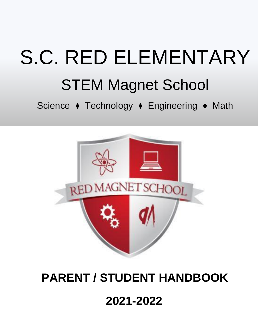# S.C. RED ELEMENTARY STEM Magnet School

Science ◆ Technology ◆ Engineering ◆ Math



# $2021 - 2022$  $3031, 2032$ **2021-2022 PARENT / STUDENT HANDBOOK PARENT / STUDENT HANDBOOK**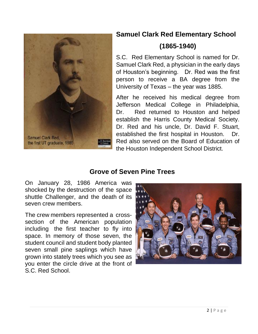

#### **Samuel Clark Red Elementary School**

#### **(1865-1940)**

S.C. Red Elementary School is named for Dr. Samuel Clark Red, a physician in the early days of Houston's beginning. Dr. Red was the first person to receive a BA degree from the University of Texas – the year was 1885.

After he received his medical degree from Jefferson Medical College in Philadelphia, Dr. Red returned to Houston and helped establish the Harris County Medical Society. Dr. Red and his uncle, Dr. David F. Stuart, established the first hospital in Houston. Dr. Red also served on the Board of Education of the Houston Independent School District.

#### **Grove of Seven Pine Trees**

On January 28, 1986 America was shocked by the destruction of the space shuttle Challenger, and the death of its seven crew members.

The crew members represented a crosssection of the American population including the first teacher to fly into space. In memory of those seven, the student council and student body planted seven small pine saplings which have grown into stately trees which you see as you enter the circle drive at the front of S.C. Red School.

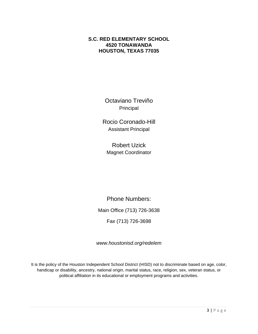#### **S.C. RED ELEMENTARY SCHOOL 4520 TONAWANDA HOUSTON, TEXAS 77035**

Octaviano Treviño Principal

Rocio Coronado-Hill Assistant Principal

Robert Uzick Magnet Coordinator

Phone Numbers: Main Office (713) 726-3638 Fax (713) 726-3698

*[www.houstonisd.org/redelem](http://www.houstonisd.org/redelem)*

It is the policy of the Houston Independent School District (HISD) not to discriminate based on age, color, handicap or disability, ancestry, national origin, marital status, race, religion, sex, veteran status, or political affiliation in its educational or employment programs and activities.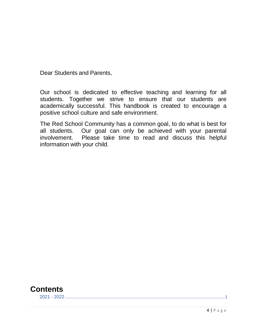Dear Students and Parents,

Our school is dedicated to effective teaching and learning for all students. Together we strive to ensure that our students are academically successful. This handbook is created to encourage a positive school culture and safe environment.

The Red School Community has a common goal, to do what is best for all students. Our goal can only be achieved with your parental involvement. Please take time to read and discuss this helpful information with your child.



4 | P a g e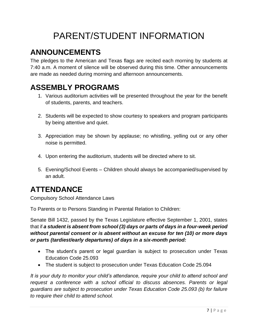# PARENT/STUDENT INFORMATION

# <span id="page-6-0"></span>**ANNOUNCEMENTS**

The pledges to the American and Texas flags are recited each morning by students at 7:40 a.m. A moment of silence will be observed during this time. Other announcements are made as needed during morning and afternoon announcements.

## <span id="page-6-1"></span>**ASSEMBLY PROGRAMS**

- 1. Various auditorium activities will be presented throughout the year for the benefit of students, parents, and teachers.
- 2. Students will be expected to show courtesy to speakers and program participants by being attentive and quiet.
- 3. Appreciation may be shown by applause; no whistling, yelling out or any other noise is permitted.
- 4. Upon entering the auditorium, students will be directed where to sit.
- 5. Evening/School Events Children should always be accompanied/supervised by an adult.

## <span id="page-6-2"></span>**ATTENDANCE**

Compulsory School Attendance Laws

To Parents or to Persons Standing in Parental Relation to Children:

Senate Bill 1432, passed by the Texas Legislature effective September 1, 2001, states that if *a student is absent from school (3) days or parts of days in a four-week period without parental consent or is absent without an excuse for ten (10) or more days or parts (tardiest/early departures) of days in a six-month period:*

- The student's parent or legal guardian is subject to prosecution under Texas Education Code 25.093
- The student is subject to prosecution under Texas Education Code 25.094

*It is your duty to monitor your child's attendance, require your child to attend school and request a conference with a school official to discuss absences. Parents or legal guardians are subject to prosecution under Texas Education Code 25.093 (b) for failure to require their child to attend school.*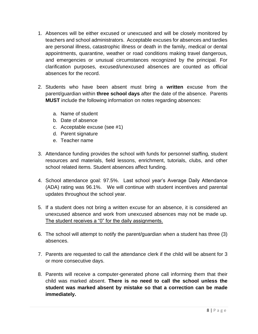- 1. Absences will be either excused or unexcused and will be closely monitored by teachers and school administrators. Acceptable excuses for absences and tardies are personal illness, catastrophic illness or death in the family, medical or dental appointments, quarantine, weather or road conditions making travel dangerous, and emergencies or unusual circumstances recognized by the principal. For clarification purposes, excused/unexcused absences are counted as official absences for the record.
- 2. Students who have been absent must bring a **written** excuse from the parent/guardian within **three school days** after the date of the absence. Parents **MUST** include the following information on notes regarding absences:
	- a. Name of student
	- b. Date of absence
	- c. Acceptable excuse (see #1)
	- d. Parent signature
	- e. Teacher name
- 3. Attendance funding provides the school with funds for personnel staffing, student resources and materials, field lessons, enrichment, tutorials, clubs, and other school related items. Student absences affect funding.
- 4. School attendance goal: 97.5%. Last school year's Average Daily Attendance (ADA) rating was 96.1%. We will continue with student incentives and parental updates throughout the school year.
- 5. If a student does not bring a written excuse for an absence, it is considered an unexcused absence and work from unexcused absences may not be made up. The student receives a "0" for the daily assignments.
- 6. The school will attempt to notify the parent/guardian when a student has three (3) absences.
- 7. Parents are requested to call the attendance clerk if the child will be absent for 3 or more consecutive days.
- 8. Parents will receive a computer-generated phone call informing them that their child was marked absent. **There is no need to call the school unless the student was marked absent by mistake so that a correction can be made immediately.**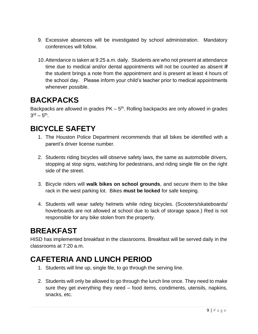- 9. Excessive absences will be investigated by school administration. Mandatory conferences will follow.
- 10.Attendance is taken at 9:25 a.m. daily. Students are who not present at attendance time due to medical and/or dental appointments will not be counted as absent **if** the student brings a note from the appointment and is present at least 4 hours of the school day. Please inform your child's teacher prior to medical appointments whenever possible.

# <span id="page-8-0"></span>**BACKPACKS**

Backpacks are allowed in grades  $PK - 5<sup>th</sup>$ . Rolling backpacks are only allowed in grades  $3^{\text{rd}} - 5^{\text{th}}$ .

## <span id="page-8-1"></span>**BICYCLE SAFETY**

- 1. The Houston Police Department recommends that all bikes be identified with a parent's driver license number.
- 2. Students riding bicycles will observe safety laws, the same as automobile drivers, stopping at stop signs, watching for pedestrians, and riding single file on the right side of the street.
- 3. Bicycle riders will **walk bikes on school grounds**, and secure them to the bike rack in the west parking lot. Bikes **must be locked** for safe keeping.
- 4. Students will wear safety helmets while riding bicycles. (Scooters/skateboards/ hoverboards are not allowed at school due to lack of storage space.) Red is not responsible for any bike stolen from the property.

# <span id="page-8-2"></span>**BREAKFAST**

HISD has implemented breakfast in the classrooms. Breakfast will be served daily in the classrooms at 7:20 a.m.

## <span id="page-8-3"></span>**CAFETERIA AND LUNCH PERIOD**

- 1. Students will line up, single file, to go through the serving line.
- 2. Students will only be allowed to go through the lunch line once. They need to make sure they get everything they need – food items, condiments, utensils, napkins, snacks, etc.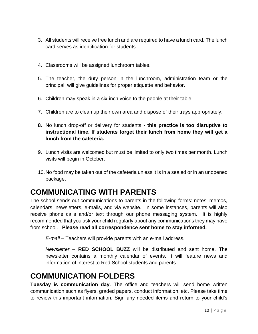- 3. All students will receive free lunch and are required to have a lunch card. The lunch card serves as identification for students.
- 4. Classrooms will be assigned lunchroom tables.
- 5. The teacher, the duty person in the lunchroom, administration team or the principal, will give guidelines for proper etiquette and behavior.
- 6. Children may speak in a six-inch voice to the people at their table.
- 7. Children are to clean up their own area and dispose of their trays appropriately.
- **8.** No lunch drop-off or delivery for students **this practice is too disruptive to instructional time. If students forget their lunch from home they will get a lunch from the cafeteria.**
- 9. Lunch visits are welcomed but must be limited to only two times per month. Lunch visits will begin in October.
- 10.No food may be taken out of the cafeteria unless it is in a sealed or in an unopened package.

## <span id="page-9-0"></span>**COMMUNICATING WITH PARENTS**

The school sends out communications to parents in the following forms: notes, memos, calendars, newsletters, e-mails, and via website. In some instances, parents will also receive phone calls and/or text through our phone messaging system. It is highly recommended that you ask your child regularly about any communications they may have from school. **Please read all correspondence sent home to stay informed.**

*E-mail* – Teachers will provide parents with an e-mail address.

*Newsletter* – **RED SCHOOL BUZZ** will be distributed and sent home. The newsletter contains a monthly calendar of events. It will feature news and information of interest to Red School students and parents.

#### <span id="page-9-1"></span>**COMMUNICATION FOLDERS**

**Tuesday is communication day**. The office and teachers will send home written communication such as flyers, graded papers, conduct information, etc. Please take time to review this important information. Sign any needed items and return to your child's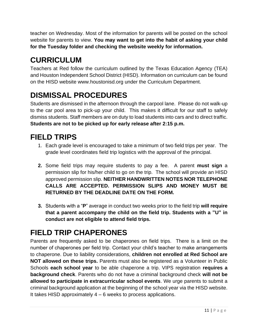teacher on Wednesday. Most of the information for parents will be posted on the school website for parents to view. **You may want to get into the habit of asking your child for the Tuesday folder and checking the website weekly for information.**

# <span id="page-10-0"></span>**CURRICULUM**

Teachers at Red follow the curriculum outlined by the Texas Education Agency (TEA) and Houston Independent School District (HISD). Information on curriculum can be found on the HISD website www.houstonisd.org under the Curriculum Department.

# <span id="page-10-1"></span>**DISMISSAL PROCEDURES**

Students are dismissed in the afternoon through the carpool lane. Please do not walk-up to the car pool area to pick-up your child. This makes it difficult for our staff to safely dismiss students. Staff members are on duty to load students into cars and to direct traffic. **Students are not to be picked up for early release after 2:15 p.m.**

# <span id="page-10-2"></span>**FIELD TRIPS**

- 1. Each grade level is encouraged to take a minimum of two field trips per year. The grade level coordinates field trip logistics with the approval of the principal.
- **2.** Some field trips may require students to pay a fee. A parent **must sign** a permission slip for his/her child to go on the trip. The school will provide an HISD approved permission slip. **NEITHER HANDWRITTEN NOTES NOR TELEPHONE CALLS ARE ACCEPTED. PERMISSION SLIPS AND MONEY MUST BE RETURNED BY THE DEADLINE DATE ON THE FORM.**
- **3.** Students with a "**P**" average in conduct two weeks prior to the field trip **will require that a parent accompany the child on the field trip. Students with a "U" in conduct are not eligible to attend field trips.**

# <span id="page-10-3"></span>**FIELD TRIP CHAPERONES**

Parents are frequently asked to be chaperones on field trips. There is a limit on the number of chaperones per field trip. Contact your child's teacher to make arrangements to chaperone. Due to liability considerations, **children not enrolled at Red School are NOT allowed on these trips.** Parents must also be registered as a Volunteer in Public Schools **each school year** to be able chaperone a trip. VIPS registration **requires a background check**. Parents who do not have a criminal background check **will not be allowed to participate in extracurricular school events**. We urge parents to submit a criminal background application at the beginning of the school year via the HISD website. It takes HISD approximately  $4 - 6$  weeks to process applications.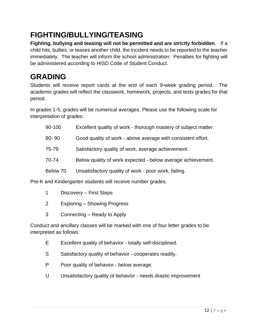# <span id="page-11-0"></span>**FIGHTING/BULLYING/TEASING**

**Fighting, bullying and teasing will not be permitted and are strictly forbidden**. If a child hits, bullies, or teases another child, the incident needs to be reported to the teacher immediately. The teacher will inform the school administration. Penalties for fighting will be administered according to HISD Code of Student Conduct.

# <span id="page-11-1"></span>**GRADING**

Students will receive report cards at the end of each 9-week grading period. The academic grades will reflect the classwork, homework, projects, and tests grades for that period.

In grades 1-5, grades will be numerical averages. Please use the following scale for interpretation of grades:

| 90-100    | Excellent quality of work - thorough mastery of subject matter. |
|-----------|-----------------------------------------------------------------|
| $80 - 90$ | Good quality of work - above average with consistent effort.    |

- 75-79 Satisfactory quality of work, average achievement.
- 70-74 Below quality of work expected below average achievement.
- Below 70 Unsatisfactory quality of work poor work, failing.

Pre-K and Kindergarten students will receive number grades.

- 1 Discovery First Steps
- 2 Exploring Showing Progress
- 3 Connecting Ready to Apply

Conduct and ancillary classes will be marked with one of four letter grades to be interpreted as follows:

- E Excellent quality of behavior totally self-disciplined.
- S Satisfactory quality of behavior cooperates readily.
- P Poor quality of behavior below average.
- U Unsatisfactory quality of behavior needs drastic improvement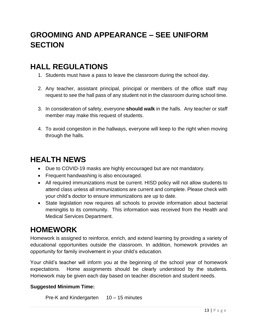# <span id="page-12-0"></span>**GROOMING AND APPEARANCE – SEE UNIFORM SECTION**

#### <span id="page-12-1"></span>**HALL REGULATIONS**

- 1. Students must have a pass to leave the classroom during the school day.
- 2. Any teacher, assistant principal, principal or members of the office staff may request to see the hall pass of any student not in the classroom during school time.
- 3. In consideration of safety, everyone **should walk** in the halls. Any teacher or staff member may make this request of students.
- 4. To avoid congestion in the hallways, everyone will keep to the right when moving through the halls.

#### <span id="page-12-2"></span>**HEALTH NEWS**

- Due to COVID-19 masks are highly encouraged but are not mandatory.
- Frequent handwashing is also encouraged.
- All required immunizations must be current. HISD policy will not allow students to attend class unless all immunizations are current and complete. Please check with your child's doctor to ensure immunizations are up to date.
- State legislation now requires all schools to provide information about bacterial meningitis to its community. This information was received from the Health and Medical Services Department.

## <span id="page-12-3"></span>**HOMEWORK**

Homework is assigned to reinforce, enrich, and extend learning by providing a variety of educational opportunities outside the classroom. In addition, homework provides an opportunity for family involvement in your child's education.

Your child's teacher will inform you at the beginning of the school year of homework expectations. Home assignments should be clearly understood by the students. Homework may be given each day based on teacher discretion and student needs.

#### **Suggested Minimum Time:**

```
Pre-K and Kindergarten 10 – 15 minutes
```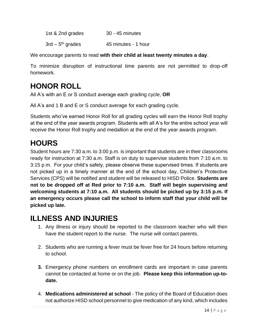1st & 2nd grades 30 - 45 minutes

 $3rd - 5<sup>th</sup>$  grades 45 minutes - 1 hour

We encourage parents to read **with their child at least twenty minutes a day**.

To minimize disruption of instructional time parents are not permitted to drop-off homework.

# <span id="page-13-0"></span>**HONOR ROLL**

All A's with an E or S conduct average each grading cycle, **OR**

All A's and 1 B and E or S conduct average for each grading cycle.

Students who've earned Honor Roll for all grading cycles will earn the Honor Roll trophy at the end of the year awards program. Students with all A's for the entire school year will receive the Honor Roll trophy and medallion at the end of the year awards program.

## <span id="page-13-1"></span>**HOURS**

Student hours are 7:30 a.m. to 3:00 p.m. is important that students are in their classrooms ready for instruction at 7:30 a.m. Staff is on duty to supervise students from 7:10 a.m. to 3:15 p.m. For your child's safety, please observe these supervised times. If students are not picked up in a timely manner at the end of the school day, Children's Protective Services (CPS) will be notified and student will be released to HISD Police. **Students are not to be dropped off at Red prior to 7:10 a.m. Staff will begin supervising and welcoming students at 7:10 a.m. All students should be picked up by 3:15 p.m. If an emergency occurs please call the school to inform staff that your child will be picked up late.**

## <span id="page-13-2"></span>**ILLNESS AND INJURIES**

- 1. Any illness or injury should be reported to the classroom teacher who will then have the student report to the nurse. The nurse will contact parents.
- 2. Students who are running a fever must be fever free for 24 hours before returning to school.
- **3.** Emergency phone numbers on enrollment cards are important in case parents cannot be contacted at home or on the job. **Please keep this information up-todate.**
- 4. **Medications administered at school** The policy of the Board of Education does not authorize HISD school personnel to give medication of any kind, which includes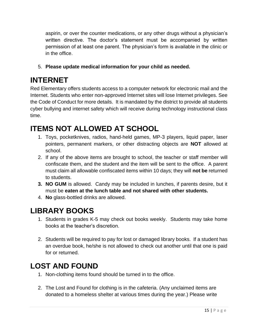aspirin, or over the counter medications, or any other drugs without a physician's written directive. The doctor's statement must be accompanied by written permission of at least one parent. The physician's form is available in the clinic or in the office.

5. **Please update medical information for your child as needed.**

## <span id="page-14-0"></span>**INTERNET**

Red Elementary offers students access to a computer network for electronic mail and the Internet. Students who enter non-approved Internet sites will lose Internet privileges. See the Code of Conduct for more details. It is mandated by the district to provide all students cyber bullying and internet safety which will receive during technology instructional class time.

# <span id="page-14-1"></span>**ITEMS NOT ALLOWED AT SCHOOL**

- 1. Toys, pocketknives, radios, hand-held games, MP-3 players, liquid paper, laser pointers, permanent markers, or other distracting objects are **NOT** allowed at school.
- 2. If any of the above items are brought to school, the teacher or staff member will confiscate them, and the student and the item will be sent to the office. A parent must claim all allowable confiscated items within 10 days; they will **not be** returned to students.
- **3. NO GUM** is allowed. Candy may be included in lunches, if parents desire, but it must be **eaten at the lunch table and not shared with other students.**
- 4. **No** glass-bottled drinks are allowed.

# <span id="page-14-2"></span>**LIBRARY BOOKS**

- 1. Students in grades K-5 may check out books weekly. Students may take home books at the teacher's discretion.
- 2. Students will be required to pay for lost or damaged library books. If a student has an overdue book, he/she is not allowed to check out another until that one is paid for or returned.

## <span id="page-14-3"></span>**LOST AND FOUND**

- 1. Non-clothing items found should be turned in to the office.
- 2. The Lost and Found for clothing is in the cafeteria. (Any unclaimed items are donated to a homeless shelter at various times during the year.) Please write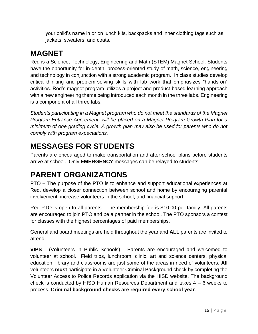your child's name in or on lunch kits, backpacks and inner clothing tags such as jackets, sweaters, and coats.

# <span id="page-15-0"></span>**MAGNET**

Red is a Science, Technology, Engineering and Math (STEM) Magnet School. Students have the opportunity for in-depth, process-oriented study of math, science, engineering and technology in conjunction with a strong academic program. In class studies develop critical-thinking and problem-solving skills with lab work that emphasizes "hands-on" activities. Red's magnet program utilizes a project and product-based learning approach with a new engineering theme being introduced each month in the three labs. Engineering is a component of all three labs.

*Students participating in a Magnet program who do not meet the standards of the Magnet Program Entrance Agreement, will be placed on a Magnet Program Growth Plan for a minimum of one grading cycle. A growth plan may also be used for parents who do not comply with program expectations.*

# <span id="page-15-1"></span>**MESSAGES FOR STUDENTS**

Parents are encouraged to make transportation and after-school plans before students arrive at school. Only **EMERGENCY** messages can be relayed to students.

# <span id="page-15-2"></span>**PARENT ORGANIZATIONS**

PTO – The purpose of the PTO is to enhance and support educational experiences at Red, develop a closer connection between school and home by encouraging parental involvement, increase volunteers in the school, and financial support.

Red PTO is open to all parents. The membership fee is \$10.00 per family. All parents are encouraged to join PTO and be a partner in the school. The PTO sponsors a contest for classes with the highest percentages of paid memberships.

General and board meetings are held throughout the year and **ALL** parents are invited to attend.

**VIPS** - (Volunteers in Public Schools) - Parents are encouraged and welcomed to volunteer at school. Field trips, lunchroom, clinic, art and science centers, physical education, library and classrooms are just some of the areas in need of volunteers. **All**  volunteers **must** participate in a Volunteer Criminal Background check by completing the Volunteer Access to Police Records application via the HISD website. The background check is conducted by HISD Human Resources Department and takes 4 – 6 weeks to process. **Criminal background checks are required every school year**.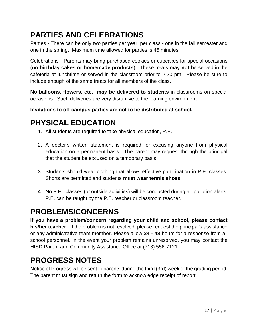# <span id="page-16-0"></span>**PARTIES AND CELEBRATIONS**

Parties - There can be only two parties per year, per class - one in the fall semester and one in the spring. Maximum time allowed for parties is 45 minutes.

Celebrations - Parents may bring purchased cookies or cupcakes for special occasions (**no birthday cakes or homemade products**). These treats **may not** be served in the cafeteria at lunchtime or served in the classroom prior to 2:30 pm. Please be sure to include enough of the same treats for all members of the class.

**No balloons, flowers, etc. may be delivered to students** in classrooms on special occasions. Such deliveries are very disruptive to the learning environment.

**Invitations to off-campus parties are not to be distributed at school.**

# <span id="page-16-1"></span>**PHYSICAL EDUCATION**

- 1. All students are required to take physical education, P.E.
- 2. A doctor's written statement is required for excusing anyone from physical education on a permanent basis. The parent may request through the principal that the student be excused on a temporary basis.
- 3. Students should wear clothing that allows effective participation in P.E. classes. Shorts are permitted and students **must wear tennis shoes**.
- 4. No P.E. classes (or outside activities) will be conducted during air pollution alerts. P.E. can be taught by the P.E. teacher or classroom teacher.

# <span id="page-16-2"></span>**PROBLEMS/CONCERNS**

**If you have a problem/concern regarding your child and school, please contact his/her teacher.** If the problem is not resolved, please request the principal's assistance or any administrative team member. Please allow **24 - 48** hours for a response from all school personnel. In the event your problem remains unresolved, you may contact the HISD Parent and Community Assistance Office at (713) 556-7121.

# <span id="page-16-3"></span>**PROGRESS NOTES**

Notice of Progress will be sent to parents during the third (3rd) week of the grading period. The parent must sign and return the form to acknowledge receipt of report.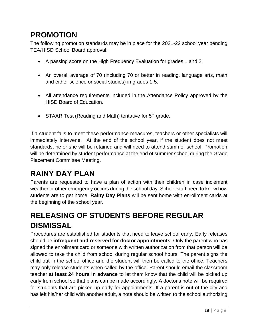# <span id="page-17-0"></span>**PROMOTION**

The following promotion standards may be in place for the 2021-22 school year pending TEA/HISD School Board approval:

- A passing score on the High Frequency Evaluation for grades 1 and 2.
- An overall average of 70 (including 70 or better in reading, language arts, math and either science or social studies) in grades 1-5.
- All attendance requirements included in the Attendance Policy approved by the HISD Board of Education.
- STAAR Test (Reading and Math) tentative for 5<sup>th</sup> grade.

If a student fails to meet these performance measures, teachers or other specialists will immediately intervene. At the end of the school year, if the student does not meet standards, he or she will be retained and will need to attend summer school. Promotion will be determined by student performance at the end of summer school during the Grade Placement Committee Meeting.

# <span id="page-17-1"></span>**RAINY DAY PLAN**

Parents are requested to have a plan of action with their children in case inclement weather or other emergency occurs during the school day. School staff need to know how students are to get home. **Rainy Day Plans** will be sent home with enrollment cards at the beginning of the school year.

# <span id="page-17-2"></span>**RELEASING OF STUDENTS BEFORE REGULAR DISMISSAL**

Procedures are established for students that need to leave school early. Early releases should be **infrequent and reserved for doctor appointments**. Only the parent who has signed the enrollment card or someone with written authorization from that person will be allowed to take the child from school during regular school hours. The parent signs the child out in the school office and the student will then be called to the office. Teachers may only release students when called by the office. Parent should email the classroom teacher **at least 24 hours in advance** to let them know that the child will be picked up early from school so that plans can be made accordingly. A doctor's note will be required for students that are picked-up early for appointments. If a parent is out of the city and has left his/her child with another adult, a note should be written to the school authorizing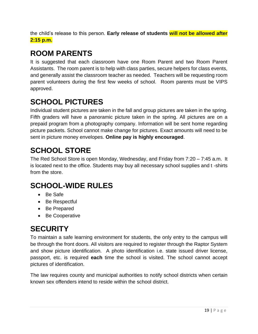the child's release to this person. **Early release of students will not be allowed after 2:15 p.m.**

# <span id="page-18-0"></span>**ROOM PARENTS**

It is suggested that each classroom have one Room Parent and two Room Parent Assistants. The room parent is to help with class parties, secure helpers for class events, and generally assist the classroom teacher as needed. Teachers will be requesting room parent volunteers during the first few weeks of school. Room parents must be VIPS approved.

# <span id="page-18-1"></span>**SCHOOL PICTURES**

Individual student pictures are taken in the fall and group pictures are taken in the spring. Fifth graders will have a panoramic picture taken in the spring. All pictures are on a prepaid program from a photography company. Information will be sent home regarding picture packets. School cannot make change for pictures. Exact amounts will need to be sent in picture money envelopes. **Online pay is highly encouraged**.

# <span id="page-18-2"></span>**SCHOOL STORE**

The Red School Store is open Monday, Wednesday, and Friday from 7:20 – 7:45 a.m. It is located next to the office. Students may buy all necessary school supplies and t -shirts from the store.

# <span id="page-18-3"></span>**SCHOOL-WIDE RULES**

- Be Safe
- Be Respectful
- Be Prepared
- Be Cooperative

# <span id="page-18-4"></span>**SECURITY**

To maintain a safe learning environment for students, the only entry to the campus will be through the front doors. All visitors are required to register through the Raptor System and show picture identification. A photo identification i.e. state issued driver license, passport, etc. is required **each** time the school is visited. The school cannot accept pictures of identification.

The law requires county and municipal authorities to notify school districts when certain known sex offenders intend to reside within the school district.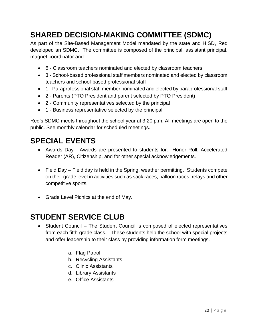# <span id="page-19-0"></span>**SHARED DECISION-MAKING COMMITTEE (SDMC)**

As part of the Site-Based Management Model mandated by the state and HISD, Red developed an SDMC. The committee is composed of the principal, assistant principal, magnet coordinator and:

- 6 Classroom teachers nominated and elected by classroom teachers
- 3 School-based professional staff members nominated and elected by classroom teachers and school-based professional staff
- 1 Paraprofessional staff member nominated and elected by paraprofessional staff
- 2 Parents (PTO President and parent selected by PTO President)
- 2 Community representatives selected by the principal
- 1 Business representative selected by the principal

Red's SDMC meets throughout the school year at 3:20 p.m. All meetings are open to the public. See monthly calendar for scheduled meetings.

# <span id="page-19-1"></span>**SPECIAL EVENTS**

- Awards Day Awards are presented to students for: Honor Roll, Accelerated Reader (AR), Citizenship, and for other special acknowledgements.
- Field Day Field day is held in the Spring, weather permitting. Students compete on their grade level in activities such as sack races, balloon races, relays and other competitive sports.
- Grade Level Picnics at the end of May.

## <span id="page-19-2"></span>**STUDENT SERVICE CLUB**

- Student Council The Student Council is composed of elected representatives from each fifth-grade class. These students help the school with special projects and offer leadership to their class by providing information form meetings.
	- a. Flag Patrol
	- b. Recycling Assistants
	- c. Clinic Assistants
	- d. Library Assistants
	- e. Office Assistants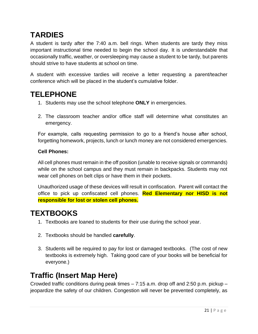# <span id="page-20-0"></span>**TARDIES**

A student is tardy after the 7:40 a.m. bell rings. When students are tardy they miss important instructional time needed to begin the school day. It is understandable that occasionally traffic, weather, or oversleeping may cause a student to be tardy, but parents should strive to have students at school on time.

A student with excessive tardies will receive a letter requesting a parent/teacher conference which will be placed in the student's cumulative folder.

#### <span id="page-20-1"></span>**TELEPHONE**

- 1. Students may use the school telephone **ONLY** in emergencies.
- 2. The classroom teacher and/or office staff will determine what constitutes an emergency.

For example, calls requesting permission to go to a friend's house after school, forgetting homework, projects, lunch or lunch money are not considered emergencies.

#### **Cell Phones:**

All cell phones must remain in the off position (unable to receive signals or commands) while on the school campus and they must remain in backpacks. Students may not wear cell phones on belt clips or have them in their pockets.

Unauthorized usage of these devices will result in confiscation. Parent will contact the office to pick up confiscated cell phones. **Red Elementary nor HISD is not responsible for lost or stolen cell phones.**

#### <span id="page-20-2"></span>**TEXTBOOKS**

- 1. Textbooks are loaned to students for their use during the school year.
- 2. Textbooks should be handled **carefully**.
- 3. Students will be required to pay for lost or damaged textbooks. (The cost of new textbooks is extremely high. Taking good care of your books will be beneficial for everyone.)

#### <span id="page-20-3"></span>**Traffic (Insert Map Here)**

Crowded traffic conditions during peak times – 7:15 a.m. drop off and 2:50 p.m. pickup – jeopardize the safety of our children. Congestion will never be prevented completely, as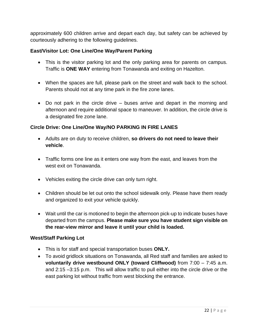approximately 600 children arrive and depart each day, but safety can be achieved by courteously adhering to the following guidelines.

#### **East/Visitor Lot: One Line/One Way/Parent Parking**

- This is the visitor parking lot and the only parking area for parents on campus. Traffic is **ONE WAY** entering from Tonawanda and exiting on Hazelton.
- When the spaces are full, please park on the street and walk back to the school. Parents should not at any time park in the fire zone lanes.
- Do not park in the circle drive buses arrive and depart in the morning and afternoon and require additional space to maneuver. In addition, the circle drive is a designated fire zone lane.

#### **Circle Drive: One Line/One Way/NO PARKING IN FIRE LANES**

- Adults are on duty to receive children, **so drivers do not need to leave their vehicle**.
- Traffic forms one line as it enters one way from the east, and leaves from the west exit on Tonawanda.
- Vehicles exiting the circle drive can only turn right.
- Children should be let out onto the school sidewalk only. Please have them ready and organized to exit your vehicle quickly.
- Wait until the car is motioned to begin the afternoon pick-up to indicate buses have departed from the campus. **Please make sure you have student sign visible on the rear-view mirror and leave it until your child is loaded.**

#### **West/Staff Parking Lot**

- This is for staff and special transportation buses **ONLY.**
- To avoid gridlock situations on Tonawanda, all Red staff and families are asked to **voluntarily drive westbound ONLY (toward Cliffwood)** from 7:00 – 7:45 a.m. and 2:15 –3:15 p.m. This will allow traffic to pull either into the circle drive or the east parking lot without traffic from west blocking the entrance.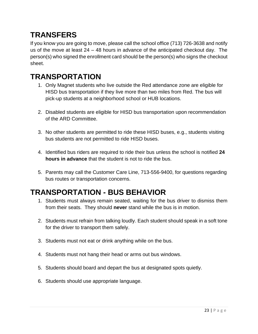# <span id="page-22-0"></span>**TRANSFERS**

If you know you are going to move, please call the school office (713) 726-3638 and notify us of the move at least 24 – 48 hours in advance of the anticipated checkout day. The person(s) who signed the enrollment card should be the person(s) who signs the checkout sheet.

## <span id="page-22-1"></span>**TRANSPORTATION**

- 1. Only Magnet students who live outside the Red attendance zone are eligible for HISD bus transportation if they live more than two miles from Red. The bus will pick-up students at a neighborhood school or HUB locations.
- 2. Disabled students are eligible for HISD bus transportation upon recommendation of the ARD Committee.
- 3. No other students are permitted to ride these HISD buses, e.g., students visiting bus students are not permitted to ride HISD buses.
- 4. Identified bus riders are required to ride their bus unless the school is notified **24 hours in advance** that the student is not to ride the bus.
- 5. Parents may call the Customer Care Line, 713-556-9400, for questions regarding bus routes or transportation concerns.

# <span id="page-22-2"></span>**TRANSPORTATION - BUS BEHAVIOR**

- 1. Students must always remain seated, waiting for the bus driver to dismiss them from their seats. They should **never** stand while the bus is in motion.
- 2. Students must refrain from talking loudly. Each student should speak in a soft tone for the driver to transport them safely.
- 3. Students must not eat or drink anything while on the bus.
- 4. Students must not hang their head or arms out bus windows.
- 5. Students should board and depart the bus at designated spots quietly.
- 6. Students should use appropriate language.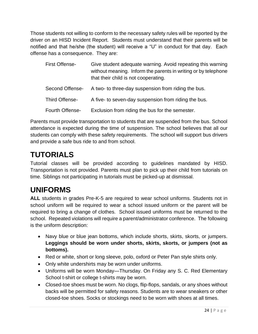Those students not willing to conform to the necessary safety rules will be reported by the driver on an HISD Incident Report. Students must understand that their parents will be notified and that he/she (the student) will receive a "U" in conduct for that day. Each offense has a consequence. They are:

| <b>First Offense-</b> | Give student adequate warning. Avoid repeating this warning<br>without meaning. Inform the parents in writing or by telephone<br>that their child is not cooperating. |
|-----------------------|-----------------------------------------------------------------------------------------------------------------------------------------------------------------------|
| Second Offense-       | A two- to three-day suspension from riding the bus.                                                                                                                   |
| Third Offense-        | A five- to seven-day suspension from riding the bus.                                                                                                                  |
| Fourth Offense-       | Exclusion from riding the bus for the semester.                                                                                                                       |

Parents must provide transportation to students that are suspended from the bus. School attendance is expected during the time of suspension. The school believes that all our students can comply with these safety requirements. The school will support bus drivers and provide a safe bus ride to and from school.

# <span id="page-23-0"></span>**TUTORIALS**

Tutorial classes will be provided according to guidelines mandated by HISD. Transportation is not provided. Parents must plan to pick up their child from tutorials on time. Siblings not participating in tutorials must be picked-up at dismissal.

# <span id="page-23-1"></span>**UNIFORMS**

**ALL** students in grades Pre-K-5 are required to wear school uniforms. Students not in school uniform will be required to wear a school issued uniform or the parent will be required to bring a change of clothes. School issued uniforms must be returned to the school. Repeated violations will require a parent/administrator conference. The following is the uniform description:

- Navy blue or blue jean bottoms, which include shorts, skirts, skorts, or jumpers. **Leggings should be worn under shorts, skirts, skorts, or jumpers (not as bottoms).**
- Red or white, short or long sleeve, polo, oxford or Peter Pan style shirts only.
- Only white undershirts may be worn under uniforms.
- Uniforms will be worn Monday—Thursday. On Friday any S. C. Red Elementary School t-shirt or college t-shirts may be worn.
- Closed-toe shoes must be worn. No clogs, flip-flops, sandals, or any shoes without backs will be permitted for safety reasons. Students are to wear sneakers or other closed-toe shoes. Socks or stockings need to be worn with shoes at all times.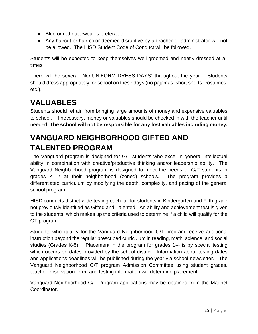- Blue or red outerwear is preferable.
- Any haircut or hair color deemed disruptive by a teacher or administrator will not be allowed. The HISD Student Code of Conduct will be followed.

Students will be expected to keep themselves well-groomed and neatly dressed at all times.

There will be several "NO UNIFORM DRESS DAYS" throughout the year. Students should dress appropriately for school on these days (no pajamas, short shorts, costumes, etc.).

# <span id="page-24-0"></span>**VALUABLES**

Students should refrain from bringing large amounts of money and expensive valuables to school. If necessary, money or valuables should be checked in with the teacher until needed. **The school will not be responsible for any lost valuables including money.**

# <span id="page-24-1"></span>**VANGUARD NEIGHBORHOOD GIFTED AND TALENTED PROGRAM**

The Vanguard program is designed for G/T students who excel in general intellectual ability in combination with creative/productive thinking and/or leadership ability. The Vanguard Neighborhood program is designed to meet the needs of G/T students in grades K-12 at their neighborhood (zoned) schools. The program provides a differentiated curriculum by modifying the depth, complexity, and pacing of the general school program.

HISD conducts district-wide testing each fall for students in Kindergarten and Fifth grade not previously identified as Gifted and Talented. An ability and achievement test is given to the students, which makes up the criteria used to determine if a child will qualify for the GT program.

Students who qualify for the Vanguard Neighborhood G/T program receive additional instruction beyond the regular prescribed curriculum in reading, math, science, and social studies (Grades K-5). Placement in the program for grades 1-4 is by special testing which occurs on dates provided by the school district. Information about testing dates and applications deadlines will be published during the year via school newsletter. The Vanguard Neighborhood G/T program Admission Committee using student grades, teacher observation form, and testing information will determine placement.

Vanguard Neighborhood G/T Program applications may be obtained from the Magnet Coordinator.